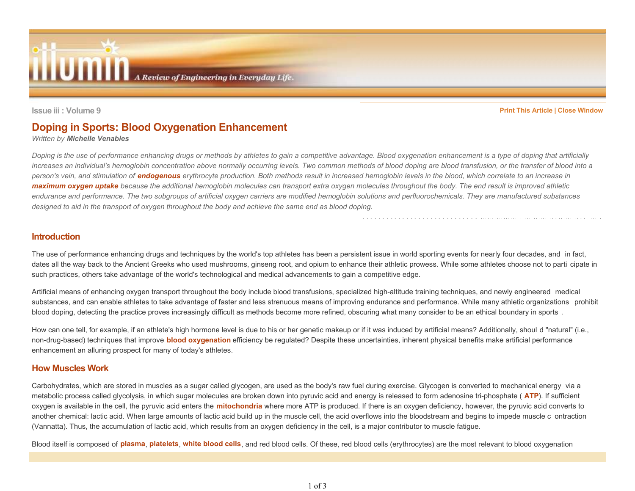

Issue iii : Volume 9

Print This Article | Close Window

# Doping in Sports: Blood Oxygenation Enhancement

Written by Michelle Venables

Doping is the use of performance enhancing drugs or methods by athletes to gain a competitive advantage. Blood oxygenation enhancement is a type of doping that artificially increases an individual's hemoglobin concentration above normally occurring levels. Two common methods of blood doping are blood transfusion, or the transfer of blood into aperson's vein, and stimulation of *endogenous* erythrocyte production. Both methods result in increased hemoglobin levels in the blood, which correlate to an increase in **maximum oxygen uptake** because the additional hemoglobin molecules can transport extra oxygen molecules throughout the body. The end result is improved athletic endurance and performance. The two subgroups of artificial oxygen carriers are modified hemoglobin solutions and perfluorochemicals. They are manufactured substancesdesigned to aid in the transport of oxygen throughout the body and achieve the same end as blood doping.

#### Introduction

The use of performance enhancing drugs and techniques by the world's top athletes has been a persistent issue in world sporting events for nearly four decades, and in fact, dates all the way back to the Ancient Greeks who used mushrooms, ginseng root, and opium to enhance their athletic prowess. While some athletes choose not to parti cipate in such practices, others take advantage of the world's technological and medical advancements to gain a competitive edge.

Artificial means of enhancing oxygen transport throughout the body include blood transfusions, specialized high-altitude training techniques, and newly engineered medical substances, and can enable athletes to take advantage of faster and less strenuous means of improving endurance and performance. While many athletic organizations prohibit blood doping, detecting the practice proves increasingly difficult as methods become more refined, obscuring what many consider to be an ethical boundary in sports.

How can one tell, for example, if an athlete's high hormone level is due to his or her genetic makeup or if it was induced by artificial means? Additionally, shoul d "natural" (i.e., non-drug-based) techniques that improve **blood oxygenation** efficiency be regulated? Despite these uncertainties, inherent physical benefits make artificial performance enhancement an alluring prospect for many of today's athletes.

#### How Muscles Work

Carbohydrates, which are stored in muscles as a sugar called glycogen, are used as the body's raw fuel during exercise. Glycogen is converted to mechanical energy via ametabolic process called glycolysis, in which sugar molecules are broken down into pyruvic acid and energy is released to form adenosine tri-phosphate ( ATP). If sufficient oxygen is available in the cell, the pyruvic acid enters the *mitochondria* where more ATP is produced. If there is an oxygen deficiency, however, the pyruvic acid converts to another chemical: lactic acid. When large amounts of lactic acid build up in the muscle cell, the acid overflows into the bloodstream and begins to impede muscle c ontraction (Vannatta). Thus, the accumulation of lactic acid, which results from an oxygen deficiency in the cell, is a major contributor to muscle fatigue.

Blood itself is composed of **plasma, platelets, white blood cells**, and red blood cells. Of these, red blood cells (erythrocytes) are the most relevant to blood oxygenation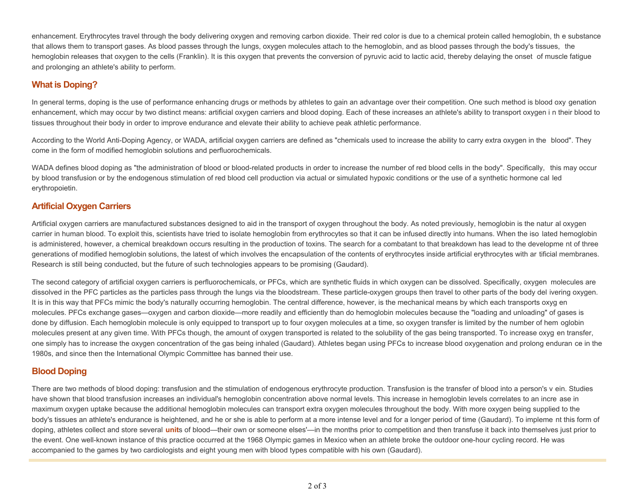enhancement. Erythrocytes travel through the body delivering oxygen and removing carbon dioxide. Their red color is due to a chemical protein called hemoglobin, th e substance that allows them to transport gases. As blood passes through the lungs, oxygen molecules attach to the hemoglobin, and as blood passes through the body's tissues, the hemoglobin releases that oxygen to the cells (Franklin). It is this oxygen that prevents the conversion of pyruvic acid to lactic acid, thereby delaying the onset of muscle fatigueand prolonging an athlete's ability to perform.

# What is Doping?

In general terms, doping is the use of performance enhancing drugs or methods by athletes to gain an advantage over their competition. One such method is blood oxy genation enhancement, which may occur by two distinct means: artificial oxygen carriers and blood doping. Each of these increases an athlete's ability to transport oxygen i n their blood to tissues throughout their body in order to improve endurance and elevate their ability to achieve peak athletic performance.

According to the World Anti-Doping Agency, or WADA, artificial oxygen carriers are defined as "chemicals used to increase the ability to carry extra oxygen in the blood". Theycome in the form of modified hemoglobin solutions and perfluorochemicals.

WADA defines blood doping as "the administration of blood or blood-related products in order to increase the number of red blood cells in the body". Specifically, this may occur by blood transfusion or by the endogenous stimulation of red blood cell production via actual or simulated hypoxic conditions or the use of a synthetic hormone cal led erythropoietin.

#### Artificial Oxygen Carriers

Artificial oxygen carriers are manufactured substances designed to aid in the transport of oxygen throughout the body. As noted previously, hemoglobin is the natur al oxygen carrier in human blood. To exploit this, scientists have tried to isolate hemoglobin from erythrocytes so that it can be infused directly into humans. When the iso lated hemoglobin is administered, however, a chemical breakdown occurs resulting in the production of toxins. The search for a combatant to that breakdown has lead to the developme nt of three generations of modified hemoglobin solutions, the latest of which involves the encapsulation of the contents of erythrocytes inside artificial erythrocytes with ar tificial membranes. Research is still being conducted, but the future of such technologies appears to be promising (Gaudard).

The second category of artificial oxygen carriers is perfluorochemicals, or PFCs, which are synthetic fluids in which oxygen can be dissolved. Specifically, oxygen molecules are dissolved in the PFC particles as the particles pass through the lungs via the bloodstream. These particle-oxygen groups then travel to other parts of the body del ivering oxygen. It is in this way that PFCs mimic the body's naturally occurring hemoglobin. The central difference, however, is the mechanical means by which each transports oxyg en molecules. PFCs exchange gases—oxygen and carbon dioxide—more readily and efficiently than do hemoglobin molecules because the "loading and unloading" of gases isdone by diffusion. Each hemoglobin molecule is only equipped to transport up to four oxygen molecules at a time, so oxygen transfer is limited by the number of hem oglobin molecules present at any given time. With PFCs though, the amount of oxygen transported is related to the solubility of the gas being transported. To increase oxyg en transfer, one simply has to increase the oxygen concentration of the gas being inhaled (Gaudard). Athletes began using PFCs to increase blood oxygenation and prolong enduran ce in the 1980s, and since then the International Olympic Committee has banned their use.

# Blood Doping

There are two methods of blood doping: transfusion and the stimulation of endogenous erythrocyte production. Transfusion is the transfer of blood into a person's v ein. Studies have shown that blood transfusion increases an individual's hemoglobin concentration above normal levels. This increase in hemoglobin levels correlates to an incre ase in maximum oxygen uptake because the additional hemoglobin molecules can transport extra oxygen molecules throughout the body. With more oxygen being supplied to thebody's tissues an athlete's endurance is heightened, and he or she is able to perform at a more intense level and for a longer period of time (Gaudard). To impleme nt this form of doping, athletes collect and store several **units** of blood—their own or someone elses—in the months prior to competition and then transfuse it back into themselves just prior to the event. One well-known instance of this practice occurred at the 1968 Olympic games in Mexico when an athlete broke the outdoor one-hour cycling record. He wasaccompanied to the games by two cardiologists and eight young men with blood types compatible with his own (Gaudard).